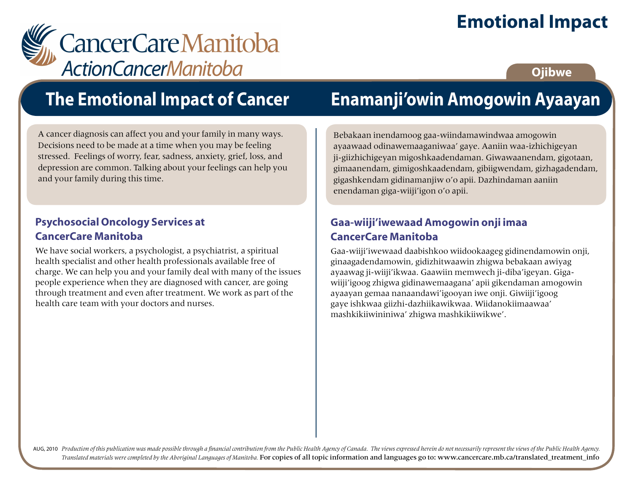## **Emotional Impact**

# CancerCareManitoba

## **Ojibwe**

# **The Emotional Impact of Cancer**

A cancer diagnosis can affect you and your family in many ways. Decisions need to be made at a time when you may be feeling stressed. Feelings of worry, fear, sadness, anxiety, grief, loss, and depression are common. Talking about your feelings can help you and your family during this time.

#### **Psychosocial Oncology Services at CancerCare Manitoba**

We have social workers, a psychologist, a psychiatrist, a spiritual health specialist and other health professionals available free of charge. We can help you and your family deal with many of the issues people experience when they are diagnosed with cancer, are going through treatment and even after treatment. We work as part of the health care team with your doctors and nurses.

# **Enamanji'owin Amogowin Ayaayan**

Bebakaan inendamoog gaa-wiindamawindwaa amogowin ayaawaad odinawemaaganiwaa' gaye. Aaniin waa-izhichigeyan ji-giizhichigeyan migoshkaadendaman. Giwawaanendam, gigotaan, gimaanendam, gimigoshkaadendam, gibiigwendam, gizhagadendam, gigashkendam gidinamanjiw o'o apii. Dazhindaman aaniin enendaman giga-wiiji'igon o'o apii.

### **Gaa-wiiji'iwewaad Amogowin onji imaa CancerCare Manitoba**

Gaa-wiiji'iwewaad daabishkoo wiidookaageg gidinendamowin onji, ginaagadendamowin, gidizhitwaawin zhigwa bebakaan awiyag ayaawag ji-wiiji'ikwaa. Gaawiin memwech ji-diba'igeyan. Gigawiiji'igoog zhigwa gidinawemaagana' apii gikendaman amogowin ayaayan gemaa nanaandawi'igooyan iwe onji. Giwiiji'igoog gaye ishkwaa giizhi-dazhiikawikwaa. Wiidanokiimaawaa' mashkikiiwininiwa' zhigwa mashkikiiwikwe'.

AUG, 2010 Production of this publication was made possible through a financial contribution from the Public Health Agency of Canada. The views expressed herein do not necessarily represent the views of the Public Health Ag *Translated materials were completed by the Aboriginal Languages of Manitoba.* For copies of all topic information and languages go to: www.cancercare.mb.ca/translated\_treatment\_info